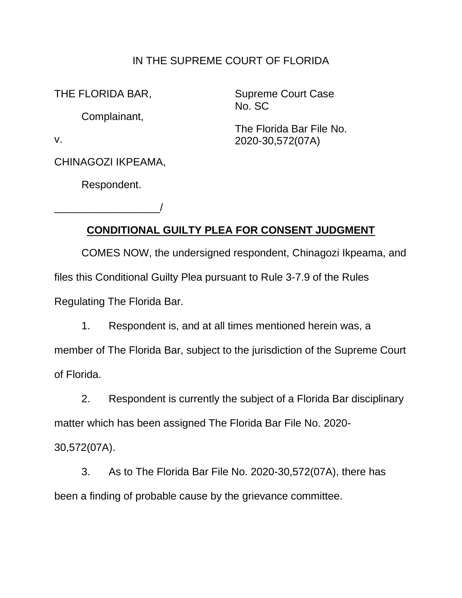## IN THE SUPREME COURT OF FLORIDA

THE FLORIDA BAR,

Complainant,

Supreme Court Case No. SC

The Florida Bar File No. 2020-30,572(07A)

v.

CHINAGOZI IKPEAMA,

Respondent.

\_\_\_\_\_\_\_\_\_\_\_\_\_\_\_\_\_\_/

## **CONDITIONAL GUILTY PLEA FOR CONSENT JUDGMENT**

COMES NOW, the undersigned respondent, Chinagozi Ikpeama, and files this Conditional Guilty Plea pursuant to Rule 3-7.9 of the Rules Regulating The Florida Bar.

1. Respondent is, and at all times mentioned herein was, a member of The Florida Bar, subject to the jurisdiction of the Supreme Court of Florida.

2. Respondent is currently the subject of a Florida Bar disciplinary matter which has been assigned The Florida Bar File No. 2020-

30,572(07A).

3. As to The Florida Bar File No. 2020-30,572(07A), there has been a finding of probable cause by the grievance committee.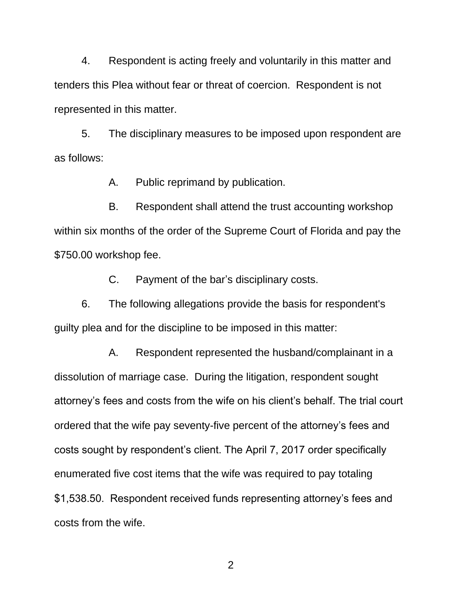4. Respondent is acting freely and voluntarily in this matter and tenders this Plea without fear or threat of coercion. Respondent is not represented in this matter.

5. The disciplinary measures to be imposed upon respondent are as follows:

A. Public reprimand by publication.

B. Respondent shall attend the trust accounting workshop within six months of the order of the Supreme Court of Florida and pay the \$750.00 workshop fee.

C. Payment of the bar's disciplinary costs.

6. The following allegations provide the basis for respondent's guilty plea and for the discipline to be imposed in this matter:

A. Respondent represented the husband/complainant in a dissolution of marriage case. During the litigation, respondent sought attorney's fees and costs from the wife on his client's behalf. The trial court ordered that the wife pay seventy-five percent of the attorney's fees and costs sought by respondent's client. The April 7, 2017 order specifically enumerated five cost items that the wife was required to pay totaling \$1,538.50. Respondent received funds representing attorney's fees and costs from the wife.

2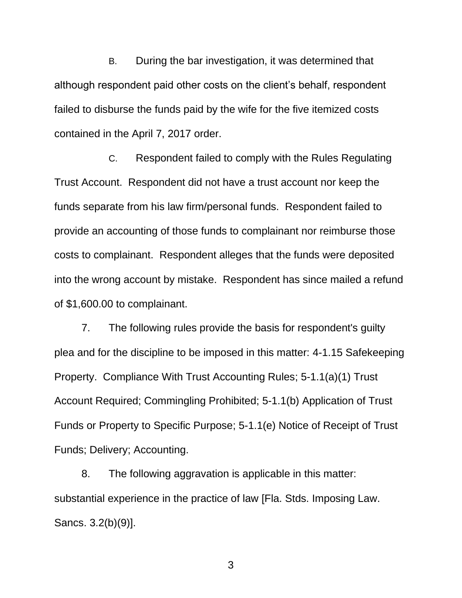B. During the bar investigation, it was determined that although respondent paid other costs on the client's behalf, respondent failed to disburse the funds paid by the wife for the five itemized costs contained in the April 7, 2017 order.

C. Respondent failed to comply with the Rules Regulating Trust Account. Respondent did not have a trust account nor keep the funds separate from his law firm/personal funds. Respondent failed to provide an accounting of those funds to complainant nor reimburse those costs to complainant. Respondent alleges that the funds were deposited into the wrong account by mistake. Respondent has since mailed a refund of \$1,600.00 to complainant.

7. The following rules provide the basis for respondent's guilty plea and for the discipline to be imposed in this matter: 4-1.15 Safekeeping Property. Compliance With Trust Accounting Rules; 5-1.1(a)(1) Trust Account Required; Commingling Prohibited; 5-1.1(b) Application of Trust Funds or Property to Specific Purpose; 5-1.1(e) Notice of Receipt of Trust Funds; Delivery; Accounting.

8. The following aggravation is applicable in this matter: substantial experience in the practice of law [Fla. Stds. Imposing Law. Sancs. 3.2(b)(9)].

3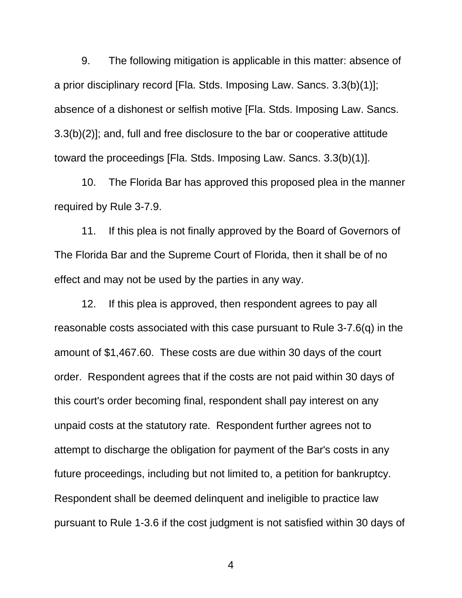9. The following mitigation is applicable in this matter: absence of a prior disciplinary record [Fla. Stds. Imposing Law. Sancs. 3.3(b)(1)]; absence of a dishonest or selfish motive [Fla. Stds. Imposing Law. Sancs. 3.3(b)(2)]; and, full and free disclosure to the bar or cooperative attitude toward the proceedings [Fla. Stds. Imposing Law. Sancs. 3.3(b)(1)].

10. The Florida Bar has approved this proposed plea in the manner required by Rule 3-7.9.

11. If this plea is not finally approved by the Board of Governors of The Florida Bar and the Supreme Court of Florida, then it shall be of no effect and may not be used by the parties in any way.

12. If this plea is approved, then respondent agrees to pay all reasonable costs associated with this case pursuant to Rule 3-7.6(q) in the amount of \$1,467.60. These costs are due within 30 days of the court order. Respondent agrees that if the costs are not paid within 30 days of this court's order becoming final, respondent shall pay interest on any unpaid costs at the statutory rate. Respondent further agrees not to attempt to discharge the obligation for payment of the Bar's costs in any future proceedings, including but not limited to, a petition for bankruptcy. Respondent shall be deemed delinquent and ineligible to practice law pursuant to Rule 1-3.6 if the cost judgment is not satisfied within 30 days of

4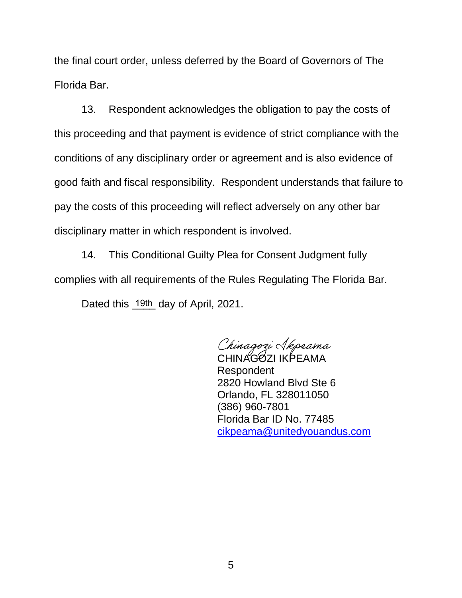the final court order, unless deferred by the Board of Governors of The Florida Bar.

13. Respondent acknowledges the obligation to pay the costs of this proceeding and that payment is evidence of strict compliance with the conditions of any disciplinary order or agreement and is also evidence of good faith and fiscal responsibility. Respondent understands that failure to pay the costs of this proceeding will reflect adversely on any other bar disciplinary matter in which respondent is involved.

14. This Conditional Guilty Plea for Consent Judgment fully complies with all requirements of the Rules Regulating The Florida Bar.

Dated this 19th day of April, 2021.

Chinagozi *Akpeama*<br>CHINAGOZI IKPEAMA

Respondent 2820 Howland Blvd Ste 6 Orlando, FL 328011050 (386) 960-7801 Florida Bar ID No. 77485 cikpeama@unitedyouandus.com